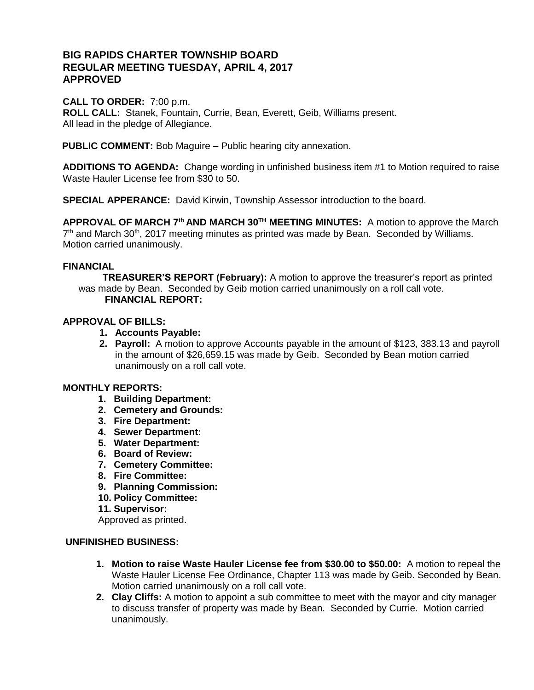# **BIG RAPIDS CHARTER TOWNSHIP BOARD REGULAR MEETING TUESDAY, APRIL 4, 2017 APPROVED**

### **CALL TO ORDER:** 7:00 p.m.

**ROLL CALL:** Stanek, Fountain, Currie, Bean, Everett, Geib, Williams present. All lead in the pledge of Allegiance.

**PUBLIC COMMENT:** Bob Maguire – Public hearing city annexation.

**ADDITIONS TO AGENDA:** Change wording in unfinished business item #1 to Motion required to raise Waste Hauler License fee from \$30 to 50.

**SPECIAL APPERANCE:** David Kirwin, Township Assessor introduction to the board.

**APPROVAL OF MARCH 7th AND MARCH 30TH MEETING MINUTES:** A motion to approve the March  $7<sup>th</sup>$  and March 30<sup>th</sup>, 2017 meeting minutes as printed was made by Bean. Seconded by Williams. Motion carried unanimously.

### **FINANCIAL**

 **TREASURER'S REPORT (February):** A motion to approve the treasurer's report as printed was made by Bean. Seconded by Geib motion carried unanimously on a roll call vote.  **FINANCIAL REPORT:** 

### **APPROVAL OF BILLS:**

- **1. Accounts Payable:**
- **2. Payroll:** A motion to approve Accounts payable in the amount of \$123, 383.13 and payroll in the amount of \$26,659.15 was made by Geib. Seconded by Bean motion carried unanimously on a roll call vote.

### **MONTHLY REPORTS:**

- **1. Building Department:**
- **2. Cemetery and Grounds:**
- **3. Fire Department:**
- **4. Sewer Department:**
- **5. Water Department:**
- **6. Board of Review:**
- **7. Cemetery Committee:**
- **8. Fire Committee:**
- **9. Planning Commission:**
- **10. Policy Committee:**
- **11. Supervisor:**

Approved as printed.

#### **UNFINISHED BUSINESS:**

- **1. Motion to raise Waste Hauler License fee from \$30.00 to \$50.00:** A motion to repeal the Waste Hauler License Fee Ordinance, Chapter 113 was made by Geib. Seconded by Bean. Motion carried unanimously on a roll call vote.
- **2. Clay Cliffs:** A motion to appoint a sub committee to meet with the mayor and city manager to discuss transfer of property was made by Bean. Seconded by Currie. Motion carried unanimously.